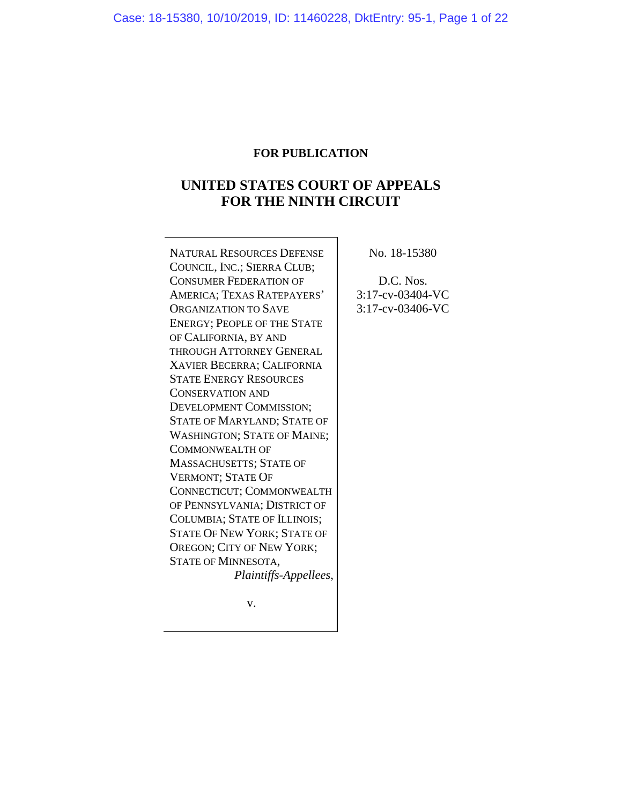# **FOR PUBLICATION**

# **UNITED STATES COURT OF APPEALS FOR THE NINTH CIRCUIT**

NATURAL RESOURCES DEFENSE COUNCIL, INC.; SIERRA CLUB; CONSUMER FEDERATION OF AMERICA; TEXAS RATEPAYERS' ORGANIZATION TO SAVE ENERGY; PEOPLE OF THE STATE OF CALIFORNIA, BY AND THROUGH ATTORNEY GENERAL XAVIER BECERRA; CALIFORNIA STATE ENERGY RESOURCES CONSERVATION AND DEVELOPMENT COMMISSION; STATE OF MARYLAND; STATE OF WASHINGTON; STATE OF MAINE; COMMONWEALTH OF MASSACHUSETTS; STATE OF VERMONT; STATE OF CONNECTICUT; COMMONWEALTH OF PENNSYLVANIA; DISTRICT OF COLUMBIA; STATE OF ILLINOIS; STATE OF NEW YORK; STATE OF OREGON; CITY OF NEW YORK; STATE OF MINNESOTA, *Plaintiffs-Appellees*,

No. 18-15380

D.C. Nos. 3:17-cv-03404-VC 3:17-cv-03406-VC

v.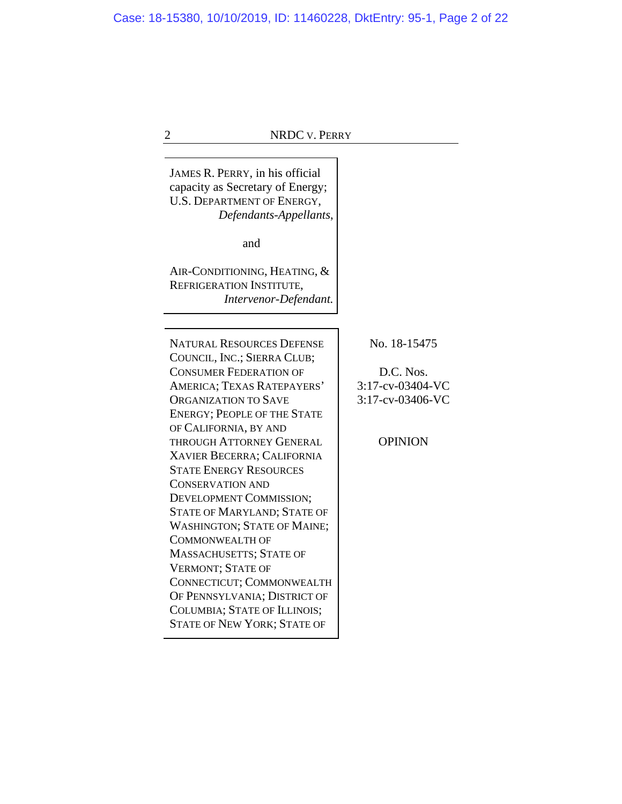JAMES R. PERRY, in his official capacity as Secretary of Energy; U.S. DEPARTMENT OF ENERGY, *Defendants-Appellants*, and AIR-CONDITIONING, HEATING, & REFRIGERATION INSTITUTE, *Intervenor-Defendant.* NATURAL RESOURCES DEFENSE COUNCIL, INC.; SIERRA CLUB; CONSUMER FEDERATION OF AMERICA; TEXAS RATEPAYERS' ORGANIZATION TO SAVE ENERGY; PEOPLE OF THE STATE OF CALIFORNIA, BY AND THROUGH ATTORNEY GENERAL XAVIER BECERRA; CALIFORNIA STATE ENERGY RESOURCES CONSERVATION AND DEVELOPMENT COMMISSION; STATE OF MARYLAND; STATE OF WASHINGTON; STATE OF MAINE; COMMONWEALTH OF MASSACHUSETTS; STATE OF VERMONT; STATE OF CONNECTICUT; COMMONWEALTH OF PENNSYLVANIA; DISTRICT OF COLUMBIA; STATE OF ILLINOIS; STATE OF NEW YORK; STATE OF

No. 18-15475

D.C. Nos. 3:17-cv-03404-VC 3:17-cv-03406-VC

**OPINION**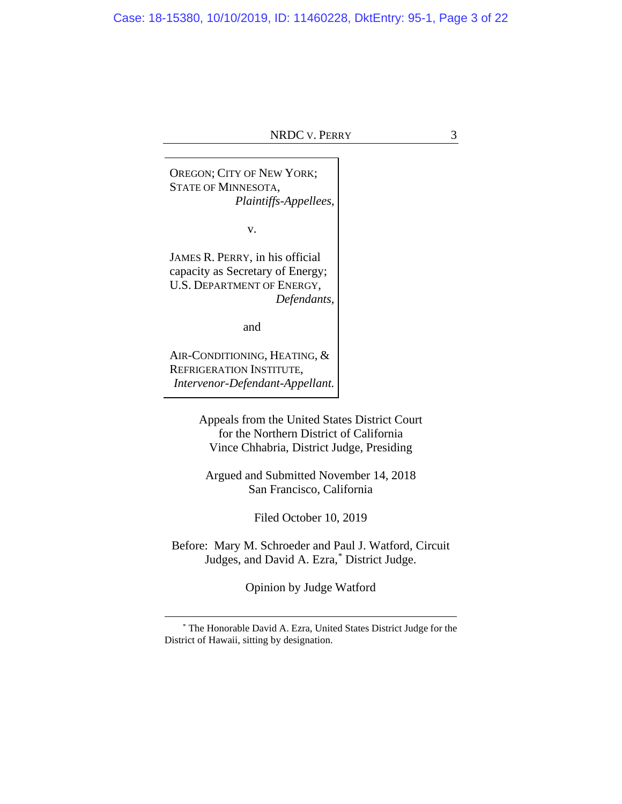OREGON; CITY OF NEW YORK; STATE OF MINNESOTA, *Plaintiffs-Appellees*,

v.

JAMES R. PERRY, in his official capacity as Secretary of Energy; U.S. DEPARTMENT OF ENERGY, *Defendants*,

and

AIR-CONDITIONING, HEATING, & REFRIGERATION INSTITUTE, *Intervenor-Defendant-Appellant.*

> Appeals from the United States District Court for the Northern District of California Vince Chhabria, District Judge, Presiding

Argued and Submitted November 14, 2018 San Francisco, California

Filed October 10, 2019

Before: Mary M. Schroeder and Paul J. Watford, Circuit Judges, and David A. Ezra, [\\*](#page-2-0) District Judge.

Opinion by Judge Watford

<span id="page-2-0"></span><sup>\*</sup> The Honorable David A. Ezra, United States District Judge for the District of Hawaii, sitting by designation.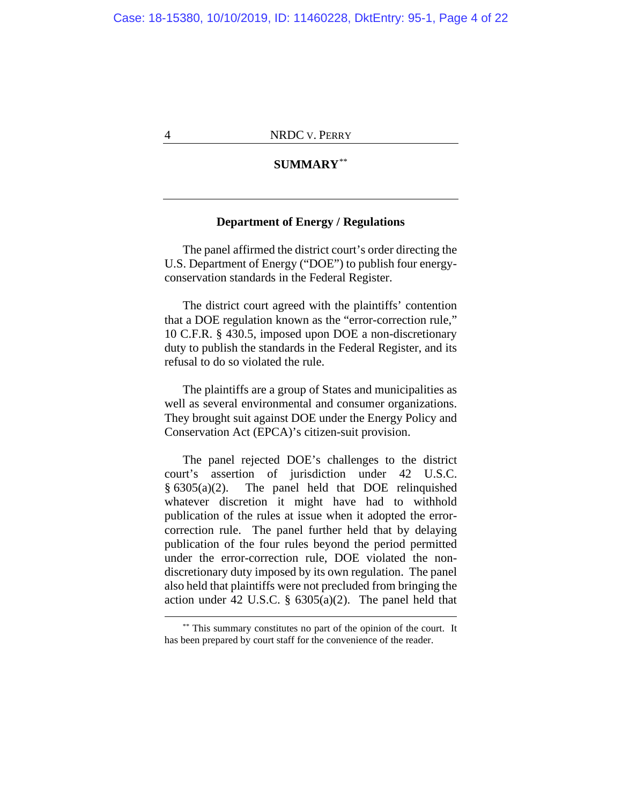# **SUMMARY**[\\*\\*](#page-3-0)

#### **Department of Energy / Regulations**

The panel affirmed the district court's order directing the U.S. Department of Energy ("DOE") to publish four energyconservation standards in the Federal Register.

The district court agreed with the plaintiffs' contention that a DOE regulation known as the "error-correction rule," 10 C.F.R. § 430.5, imposed upon DOE a non-discretionary duty to publish the standards in the Federal Register, and its refusal to do so violated the rule.

The plaintiffs are a group of States and municipalities as well as several environmental and consumer organizations. They brought suit against DOE under the Energy Policy and Conservation Act (EPCA)'s citizen-suit provision.

The panel rejected DOE's challenges to the district court's assertion of jurisdiction under 42 U.S.C. § 6305(a)(2). The panel held that DOE relinquished whatever discretion it might have had to withhold publication of the rules at issue when it adopted the errorcorrection rule. The panel further held that by delaying publication of the four rules beyond the period permitted under the error-correction rule, DOE violated the nondiscretionary duty imposed by its own regulation. The panel also held that plaintiffs were not precluded from bringing the action under 42 U.S.C.  $\S$  6305(a)(2). The panel held that

<span id="page-3-0"></span><sup>\*\*</sup> This summary constitutes no part of the opinion of the court. It has been prepared by court staff for the convenience of the reader.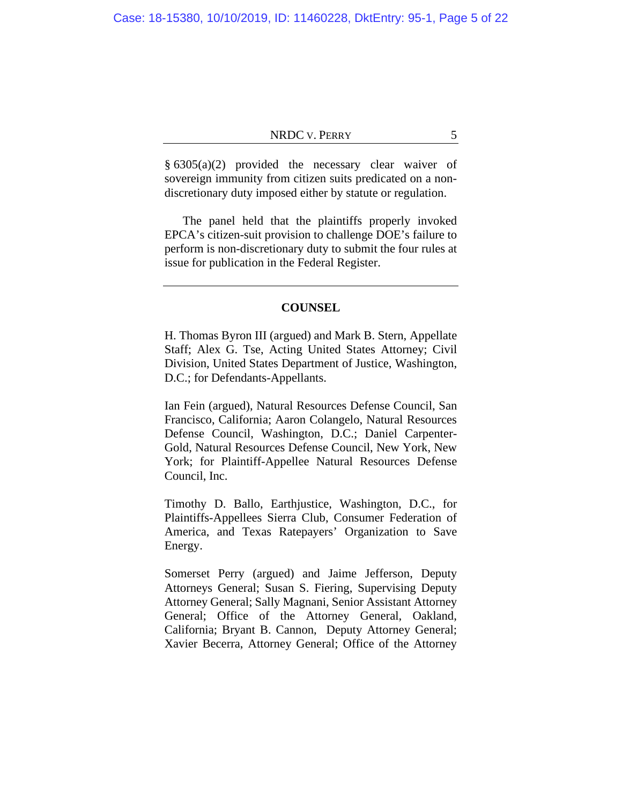§ 6305(a)(2) provided the necessary clear waiver of sovereign immunity from citizen suits predicated on a nondiscretionary duty imposed either by statute or regulation.

The panel held that the plaintiffs properly invoked EPCA's citizen-suit provision to challenge DOE's failure to perform is non-discretionary duty to submit the four rules at issue for publication in the Federal Register.

#### **COUNSEL**

H. Thomas Byron III (argued) and Mark B. Stern, Appellate Staff; Alex G. Tse, Acting United States Attorney; Civil Division, United States Department of Justice, Washington, D.C.; for Defendants-Appellants.

Ian Fein (argued), Natural Resources Defense Council, San Francisco, California; Aaron Colangelo, Natural Resources Defense Council, Washington, D.C.; Daniel Carpenter-Gold, Natural Resources Defense Council, New York, New York; for Plaintiff-Appellee Natural Resources Defense Council, Inc.

Timothy D. Ballo, Earthjustice, Washington, D.C., for Plaintiffs-Appellees Sierra Club, Consumer Federation of America, and Texas Ratepayers' Organization to Save Energy.

Somerset Perry (argued) and Jaime Jefferson, Deputy Attorneys General; Susan S. Fiering, Supervising Deputy Attorney General; Sally Magnani, Senior Assistant Attorney General; Office of the Attorney General, Oakland, California; Bryant B. Cannon, Deputy Attorney General; Xavier Becerra, Attorney General; Office of the Attorney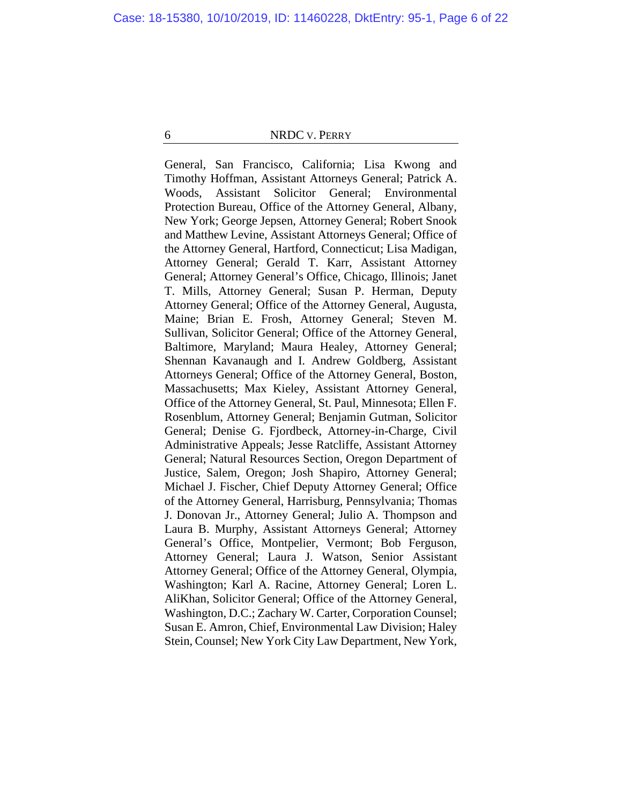General, San Francisco, California; Lisa Kwong and Timothy Hoffman, Assistant Attorneys General; Patrick A. Woods, Assistant Solicitor General; Environmental Protection Bureau, Office of the Attorney General, Albany, New York; George Jepsen, Attorney General; Robert Snook and Matthew Levine, Assistant Attorneys General; Office of the Attorney General, Hartford, Connecticut; Lisa Madigan, Attorney General; Gerald T. Karr, Assistant Attorney General; Attorney General's Office, Chicago, Illinois; Janet T. Mills, Attorney General; Susan P. Herman, Deputy Attorney General; Office of the Attorney General, Augusta, Maine; Brian E. Frosh, Attorney General; Steven M. Sullivan, Solicitor General; Office of the Attorney General, Baltimore, Maryland; Maura Healey, Attorney General; Shennan Kavanaugh and I. Andrew Goldberg, Assistant Attorneys General; Office of the Attorney General, Boston, Massachusetts; Max Kieley, Assistant Attorney General, Office of the Attorney General, St. Paul, Minnesota; Ellen F. Rosenblum, Attorney General; Benjamin Gutman, Solicitor General; Denise G. Fjordbeck, Attorney-in-Charge, Civil Administrative Appeals; Jesse Ratcliffe, Assistant Attorney General; Natural Resources Section, Oregon Department of Justice, Salem, Oregon; Josh Shapiro, Attorney General; Michael J. Fischer, Chief Deputy Attorney General; Office of the Attorney General, Harrisburg, Pennsylvania; Thomas J. Donovan Jr., Attorney General; Julio A. Thompson and Laura B. Murphy, Assistant Attorneys General; Attorney General's Office, Montpelier, Vermont; Bob Ferguson, Attorney General; Laura J. Watson, Senior Assistant Attorney General; Office of the Attorney General, Olympia, Washington; Karl A. Racine, Attorney General; Loren L. AliKhan, Solicitor General; Office of the Attorney General, Washington, D.C.; Zachary W. Carter, Corporation Counsel; Susan E. Amron, Chief, Environmental Law Division; Haley Stein, Counsel; New York City Law Department, New York,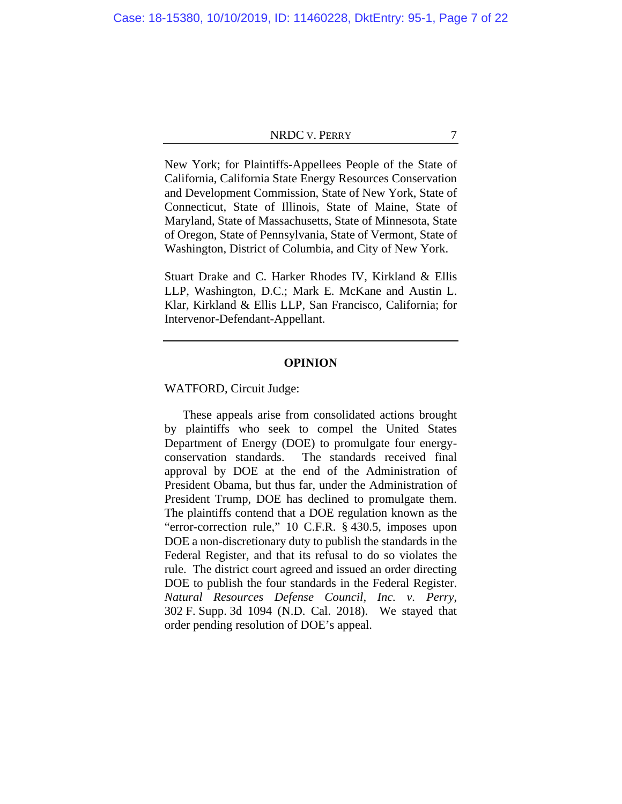New York; for Plaintiffs-Appellees People of the State of California, California State Energy Resources Conservation and Development Commission, State of New York, State of Connecticut, State of Illinois, State of Maine, State of Maryland, State of Massachusetts, State of Minnesota, State of Oregon, State of Pennsylvania, State of Vermont, State of Washington, District of Columbia, and City of New York.

Stuart Drake and C. Harker Rhodes IV, Kirkland & Ellis LLP, Washington, D.C.; Mark E. McKane and Austin L. Klar, Kirkland & Ellis LLP, San Francisco, California; for Intervenor-Defendant-Appellant.

#### **OPINION**

WATFORD, Circuit Judge:

These appeals arise from consolidated actions brought by plaintiffs who seek to compel the United States Department of Energy (DOE) to promulgate four energyconservation standards. The standards received final approval by DOE at the end of the Administration of President Obama, but thus far, under the Administration of President Trump, DOE has declined to promulgate them. The plaintiffs contend that a DOE regulation known as the "error-correction rule," 10 C.F.R. § 430.5, imposes upon DOE a non-discretionary duty to publish the standards in the Federal Register, and that its refusal to do so violates the rule. The district court agreed and issued an order directing DOE to publish the four standards in the Federal Register. *Natural Resources Defense Council, Inc. v. Perry*, 302 F. Supp. 3d 1094 (N.D. Cal. 2018). We stayed that order pending resolution of DOE's appeal.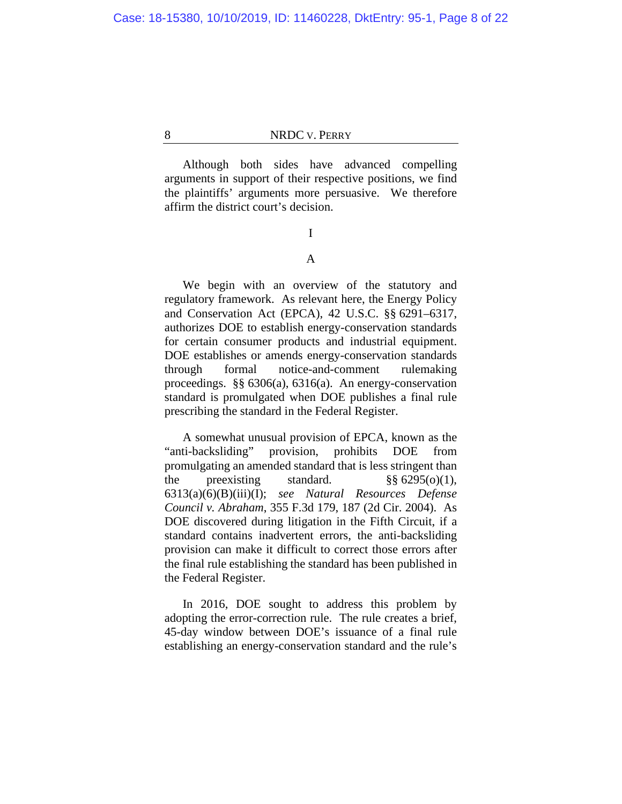Although both sides have advanced compelling arguments in support of their respective positions, we find the plaintiffs' arguments more persuasive. We therefore affirm the district court's decision.

I

# A

We begin with an overview of the statutory and regulatory framework. As relevant here, the Energy Policy and Conservation Act (EPCA), 42 U.S.C. §§ 6291–6317, authorizes DOE to establish energy-conservation standards for certain consumer products and industrial equipment. DOE establishes or amends energy-conservation standards through formal notice-and-comment rulemaking proceedings. §§ 6306(a), 6316(a). An energy-conservation standard is promulgated when DOE publishes a final rule prescribing the standard in the Federal Register.

A somewhat unusual provision of EPCA, known as the "anti-backsliding" provision, prohibits DOE from promulgating an amended standard that is less stringent than the preexisting standard.  $\frac{\$ \$ 6295(0)(1),$ 6313(a)(6)(B)(iii)(I); *see Natural Resources Defense Council v. Abraham*, 355 F.3d 179, 187 (2d Cir. 2004). As DOE discovered during litigation in the Fifth Circuit, if a standard contains inadvertent errors, the anti-backsliding provision can make it difficult to correct those errors after the final rule establishing the standard has been published in the Federal Register.

In 2016, DOE sought to address this problem by adopting the error-correction rule. The rule creates a brief, 45-day window between DOE's issuance of a final rule establishing an energy-conservation standard and the rule's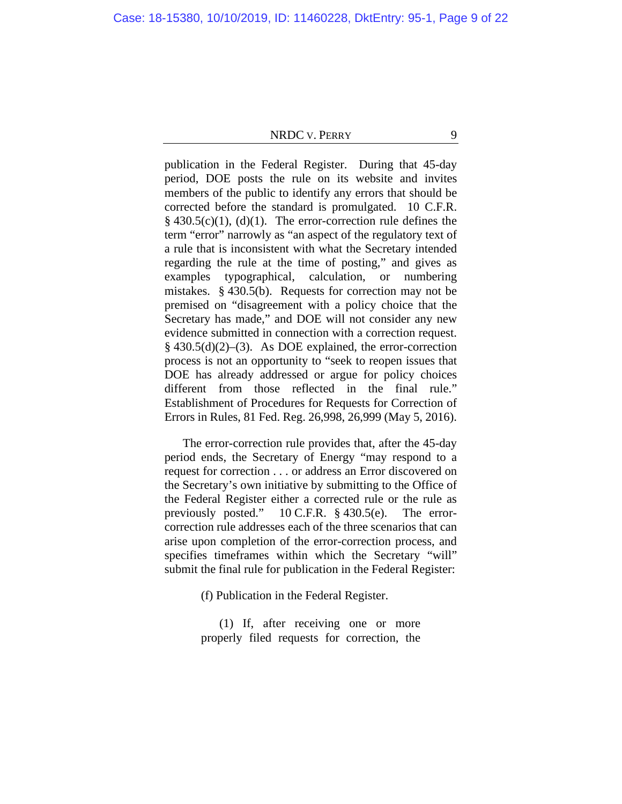publication in the Federal Register. During that 45-day period, DOE posts the rule on its website and invites members of the public to identify any errors that should be corrected before the standard is promulgated. 10 C.F.R.  $§$  430.5(c)(1), (d)(1). The error-correction rule defines the term "error" narrowly as "an aspect of the regulatory text of a rule that is inconsistent with what the Secretary intended regarding the rule at the time of posting," and gives as examples typographical, calculation, or numbering mistakes. § 430.5(b). Requests for correction may not be premised on "disagreement with a policy choice that the Secretary has made," and DOE will not consider any new evidence submitted in connection with a correction request.  $§$  430.5(d)(2)–(3). As DOE explained, the error-correction process is not an opportunity to "seek to reopen issues that DOE has already addressed or argue for policy choices different from those reflected in the final rule." Establishment of Procedures for Requests for Correction of Errors in Rules, 81 Fed. Reg. 26,998, 26,999 (May 5, 2016).

The error-correction rule provides that, after the 45-day period ends, the Secretary of Energy "may respond to a request for correction . . . or address an Error discovered on the Secretary's own initiative by submitting to the Office of the Federal Register either a corrected rule or the rule as previously posted." 10 C.F.R. § 430.5(e). The errorcorrection rule addresses each of the three scenarios that can arise upon completion of the error-correction process, and specifies timeframes within which the Secretary "will" submit the final rule for publication in the Federal Register:

(f) Publication in the Federal Register.

(1) If, after receiving one or more properly filed requests for correction, the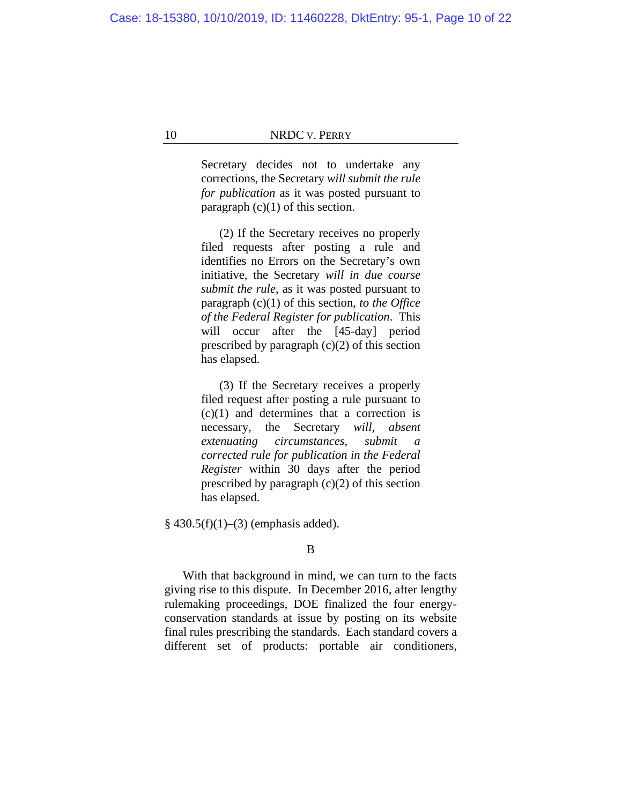Secretary decides not to undertake any corrections, the Secretary *will submit the rule for publication* as it was posted pursuant to paragraph  $(c)(1)$  of this section.

(2) If the Secretary receives no properly filed requests after posting a rule and identifies no Errors on the Secretary's own initiative, the Secretary *will in due course submit the rule*, as it was posted pursuant to paragraph (c)(1) of this section, *to the Office of the Federal Register for publication*. This will occur after the [45-day] period prescribed by paragraph  $(c)(2)$  of this section has elapsed.

(3) If the Secretary receives a properly filed request after posting a rule pursuant to  $(c)(1)$  and determines that a correction is necessary, the Secretary *will, absent extenuating circumstances, submit a corrected rule for publication in the Federal Register* within 30 days after the period prescribed by paragraph  $(c)(2)$  of this section has elapsed.

 $§$  430.5(f)(1)–(3) (emphasis added).

B

With that background in mind, we can turn to the facts giving rise to this dispute. In December 2016, after lengthy rulemaking proceedings, DOE finalized the four energyconservation standards at issue by posting on its website final rules prescribing the standards. Each standard covers a different set of products: portable air conditioners,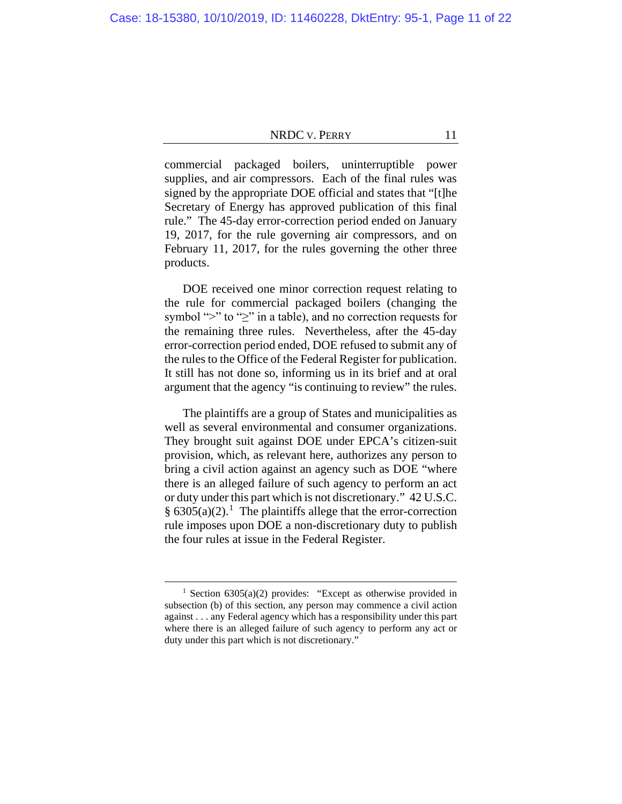commercial packaged boilers, uninterruptible power supplies, and air compressors. Each of the final rules was signed by the appropriate DOE official and states that "[t]he Secretary of Energy has approved publication of this final rule." The 45-day error-correction period ended on January 19, 2017, for the rule governing air compressors, and on February 11, 2017, for the rules governing the other three products.

DOE received one minor correction request relating to the rule for commercial packaged boilers (changing the symbol ">" to "≥" in a table), and no correction requests for the remaining three rules. Nevertheless, after the 45-day error-correction period ended, DOE refused to submit any of the rules to the Office of the Federal Register for publication. It still has not done so, informing us in its brief and at oral argument that the agency "is continuing to review" the rules.

The plaintiffs are a group of States and municipalities as well as several environmental and consumer organizations. They brought suit against DOE under EPCA's citizen-suit provision, which, as relevant here, authorizes any person to bring a civil action against an agency such as DOE "where there is an alleged failure of such agency to perform an act or duty under this part which is not discretionary." 42 U.S.C. §  $6305(a)(2)$ .<sup>[1](#page-10-0)</sup> The plaintiffs allege that the error-correction rule imposes upon DOE a non-discretionary duty to publish the four rules at issue in the Federal Register.

<span id="page-10-0"></span><sup>&</sup>lt;sup>1</sup> Section 6305(a)(2) provides: "Except as otherwise provided in subsection (b) of this section, any person may commence a civil action against . . . any Federal agency which has a responsibility under this part where there is an alleged failure of such agency to perform any act or duty under this part which is not discretionary."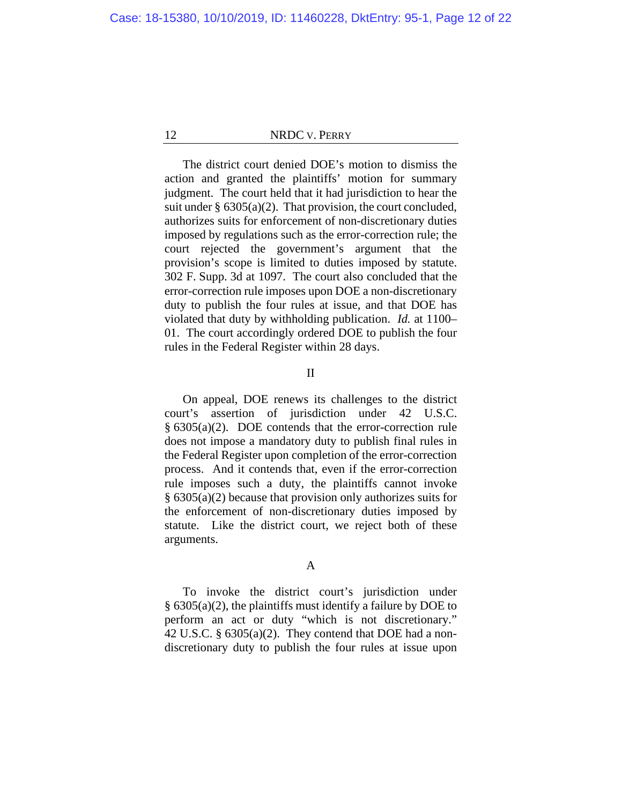The district court denied DOE's motion to dismiss the action and granted the plaintiffs' motion for summary judgment. The court held that it had jurisdiction to hear the suit under  $\S$  6305(a)(2). That provision, the court concluded, authorizes suits for enforcement of non-discretionary duties imposed by regulations such as the error-correction rule; the court rejected the government's argument that the provision's scope is limited to duties imposed by statute. 302 F. Supp. 3d at 1097. The court also concluded that the error-correction rule imposes upon DOE a non-discretionary duty to publish the four rules at issue, and that DOE has violated that duty by withholding publication. *Id.* at 1100– 01. The court accordingly ordered DOE to publish the four rules in the Federal Register within 28 days.

#### II

On appeal, DOE renews its challenges to the district court's assertion of jurisdiction under 42 U.S.C. § 6305(a)(2). DOE contends that the error-correction rule does not impose a mandatory duty to publish final rules in the Federal Register upon completion of the error-correction process. And it contends that, even if the error-correction rule imposes such a duty, the plaintiffs cannot invoke § 6305(a)(2) because that provision only authorizes suits for the enforcement of non-discretionary duties imposed by statute. Like the district court, we reject both of these arguments.

# A

To invoke the district court's jurisdiction under § 6305(a)(2), the plaintiffs must identify a failure by DOE to perform an act or duty "which is not discretionary." 42 U.S.C. § 6305(a)(2). They contend that DOE had a nondiscretionary duty to publish the four rules at issue upon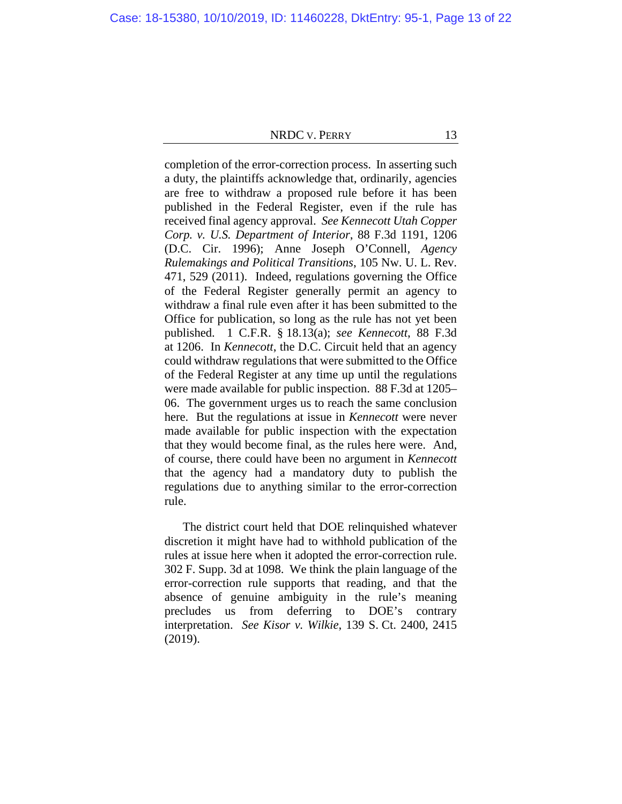completion of the error-correction process. In asserting such a duty, the plaintiffs acknowledge that, ordinarily, agencies are free to withdraw a proposed rule before it has been published in the Federal Register, even if the rule has received final agency approval. *See Kennecott Utah Copper Corp. v. U.S. Department of Interior*, 88 F.3d 1191, 1206 (D.C. Cir. 1996); Anne Joseph O'Connell, *Agency Rulemakings and Political Transitions*, 105 Nw. U. L. Rev. 471, 529 (2011). Indeed, regulations governing the Office of the Federal Register generally permit an agency to withdraw a final rule even after it has been submitted to the Office for publication, so long as the rule has not yet been published. 1 C.F.R. § 18.13(a); *see Kennecott*, 88 F.3d at 1206. In *Kennecott*, the D.C. Circuit held that an agency could withdraw regulations that were submitted to the Office of the Federal Register at any time up until the regulations were made available for public inspection. 88 F.3d at 1205– 06. The government urges us to reach the same conclusion here. But the regulations at issue in *Kennecott* were never made available for public inspection with the expectation that they would become final, as the rules here were. And, of course, there could have been no argument in *Kennecott* that the agency had a mandatory duty to publish the regulations due to anything similar to the error-correction rule.

The district court held that DOE relinquished whatever discretion it might have had to withhold publication of the rules at issue here when it adopted the error-correction rule. 302 F. Supp. 3d at 1098. We think the plain language of the error-correction rule supports that reading, and that the absence of genuine ambiguity in the rule's meaning precludes us from deferring to DOE's contrary interpretation. *See Kisor v. Wilkie*, 139 S. Ct. 2400, 2415 (2019).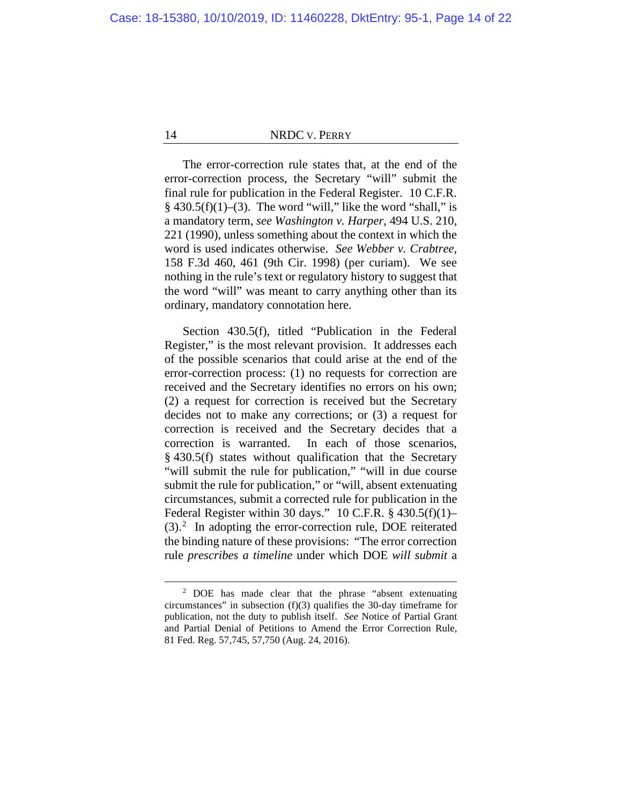The error-correction rule states that, at the end of the error-correction process, the Secretary "will" submit the final rule for publication in the Federal Register. 10 C.F.R.  $§$  430.5(f)(1)–(3). The word "will," like the word "shall," is a mandatory term, *see Washington v. Harper*, 494 U.S. 210, 221 (1990), unless something about the context in which the word is used indicates otherwise. *See Webber v. Crabtree*, 158 F.3d 460, 461 (9th Cir. 1998) (per curiam). We see nothing in the rule's text or regulatory history to suggest that the word "will" was meant to carry anything other than its ordinary, mandatory connotation here.

Section 430.5(f), titled "Publication in the Federal Register," is the most relevant provision. It addresses each of the possible scenarios that could arise at the end of the error-correction process: (1) no requests for correction are received and the Secretary identifies no errors on his own; (2) a request for correction is received but the Secretary decides not to make any corrections; or (3) a request for correction is received and the Secretary decides that a correction is warranted. In each of those scenarios, § 430.5(f) states without qualification that the Secretary "will submit the rule for publication," "will in due course submit the rule for publication," or "will, absent extenuating circumstances, submit a corrected rule for publication in the Federal Register within 30 days." 10 C.F.R. § 430.5(f)(1)– (3).[2](#page-13-0) In adopting the error-correction rule, DOE reiterated the binding nature of these provisions: "The error correction rule *prescribes a timeline* under which DOE *will submit* a

<span id="page-13-0"></span><sup>2</sup> DOE has made clear that the phrase "absent extenuating circumstances" in subsection (f)(3) qualifies the 30-day timeframe for publication, not the duty to publish itself. *See* Notice of Partial Grant and Partial Denial of Petitions to Amend the Error Correction Rule, 81 Fed. Reg. 57,745, 57,750 (Aug. 24, 2016).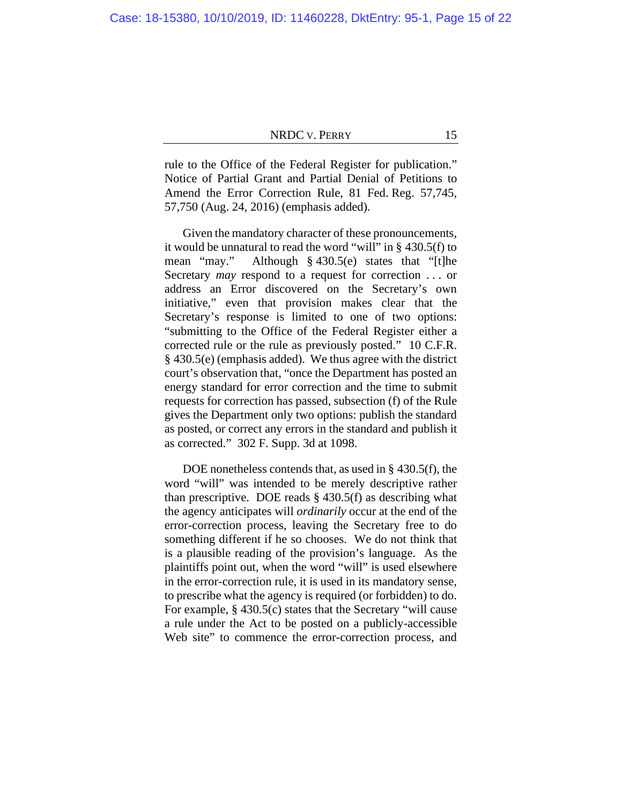rule to the Office of the Federal Register for publication." Notice of Partial Grant and Partial Denial of Petitions to Amend the Error Correction Rule, 81 Fed. Reg. 57,745, 57,750 (Aug. 24, 2016) (emphasis added).

Given the mandatory character of these pronouncements, it would be unnatural to read the word "will" in § 430.5(f) to mean "may." Although § 430.5(e) states that "[t]he Secretary *may* respond to a request for correction . . . or address an Error discovered on the Secretary's own initiative," even that provision makes clear that the Secretary's response is limited to one of two options: "submitting to the Office of the Federal Register either a corrected rule or the rule as previously posted." 10 C.F.R. § 430.5(e) (emphasis added). We thus agree with the district court's observation that, "once the Department has posted an energy standard for error correction and the time to submit requests for correction has passed, subsection (f) of the Rule gives the Department only two options: publish the standard as posted, or correct any errors in the standard and publish it as corrected." 302 F. Supp. 3d at 1098.

DOE nonetheless contends that, as used in § 430.5(f), the word "will" was intended to be merely descriptive rather than prescriptive. DOE reads  $\S$  430.5(f) as describing what the agency anticipates will *ordinarily* occur at the end of the error-correction process, leaving the Secretary free to do something different if he so chooses. We do not think that is a plausible reading of the provision's language. As the plaintiffs point out, when the word "will" is used elsewhere in the error-correction rule, it is used in its mandatory sense, to prescribe what the agency is required (or forbidden) to do. For example, § 430.5(c) states that the Secretary "will cause a rule under the Act to be posted on a publicly-accessible Web site" to commence the error-correction process, and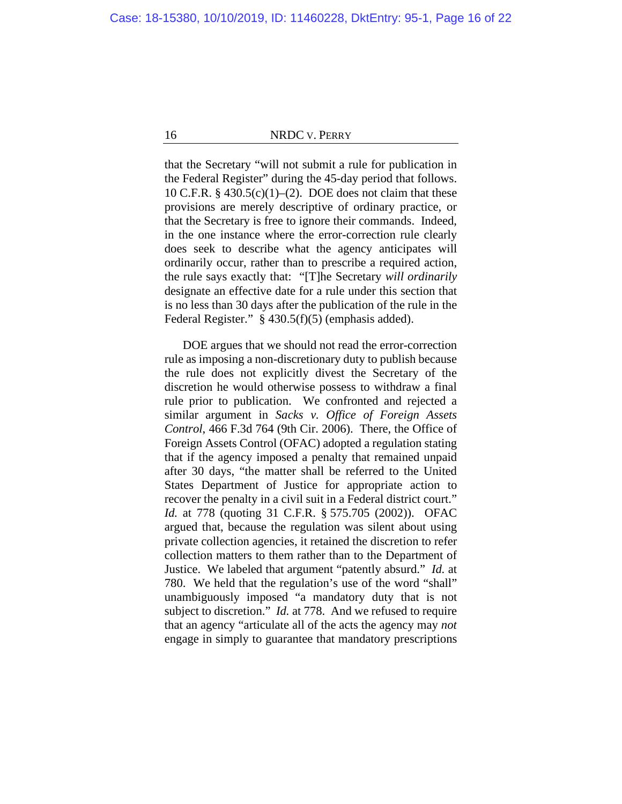that the Secretary "will not submit a rule for publication in the Federal Register" during the 45-day period that follows. 10 C.F.R.  $§$  430.5(c)(1)–(2). DOE does not claim that these provisions are merely descriptive of ordinary practice, or that the Secretary is free to ignore their commands. Indeed, in the one instance where the error-correction rule clearly does seek to describe what the agency anticipates will ordinarily occur, rather than to prescribe a required action, the rule says exactly that: "[T]he Secretary *will ordinarily* designate an effective date for a rule under this section that is no less than 30 days after the publication of the rule in the Federal Register." § 430.5(f)(5) (emphasis added).

DOE argues that we should not read the error-correction rule as imposing a non-discretionary duty to publish because the rule does not explicitly divest the Secretary of the discretion he would otherwise possess to withdraw a final rule prior to publication. We confronted and rejected a similar argument in *Sacks v. Office of Foreign Assets Control*, 466 F.3d 764 (9th Cir. 2006). There, the Office of Foreign Assets Control (OFAC) adopted a regulation stating that if the agency imposed a penalty that remained unpaid after 30 days, "the matter shall be referred to the United States Department of Justice for appropriate action to recover the penalty in a civil suit in a Federal district court." *Id.* at 778 (quoting 31 C.F.R. § 575.705 (2002)). OFAC argued that, because the regulation was silent about using private collection agencies, it retained the discretion to refer collection matters to them rather than to the Department of Justice. We labeled that argument "patently absurd." *Id.* at 780. We held that the regulation's use of the word "shall" unambiguously imposed "a mandatory duty that is not subject to discretion." *Id.* at 778. And we refused to require that an agency "articulate all of the acts the agency may *not* engage in simply to guarantee that mandatory prescriptions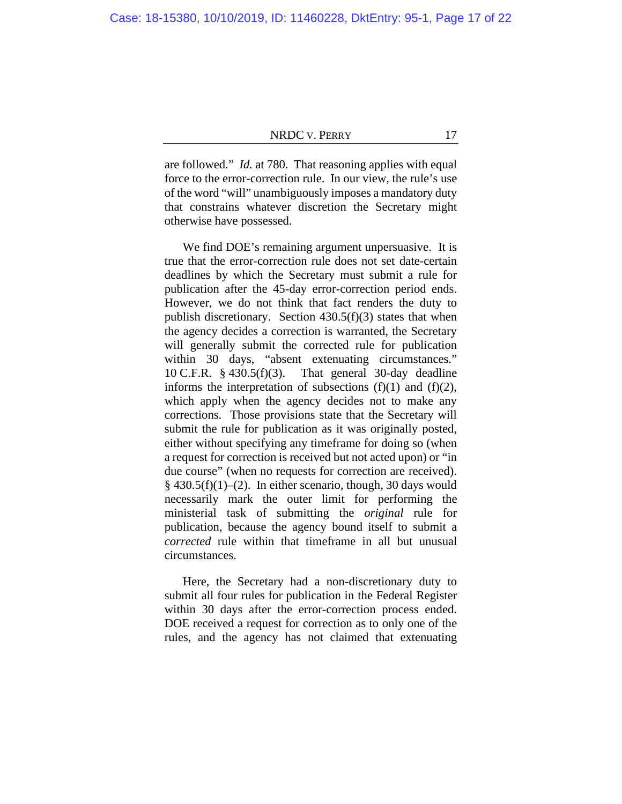are followed." *Id.* at 780. That reasoning applies with equal force to the error-correction rule. In our view, the rule's use of the word "will" unambiguously imposes a mandatory duty that constrains whatever discretion the Secretary might otherwise have possessed.

We find DOE's remaining argument unpersuasive. It is true that the error-correction rule does not set date-certain deadlines by which the Secretary must submit a rule for publication after the 45-day error-correction period ends. However, we do not think that fact renders the duty to publish discretionary. Section 430.5(f)(3) states that when the agency decides a correction is warranted, the Secretary will generally submit the corrected rule for publication within 30 days, "absent extenuating circumstances." 10 C.F.R. § 430.5(f)(3). That general 30-day deadline informs the interpretation of subsections  $(f)(1)$  and  $(f)(2)$ , which apply when the agency decides not to make any corrections. Those provisions state that the Secretary will submit the rule for publication as it was originally posted, either without specifying any timeframe for doing so (when a request for correction is received but not acted upon) or "in due course" (when no requests for correction are received).  $§$  430.5(f)(1)–(2). In either scenario, though, 30 days would necessarily mark the outer limit for performing the ministerial task of submitting the *original* rule for publication, because the agency bound itself to submit a *corrected* rule within that timeframe in all but unusual circumstances.

Here, the Secretary had a non-discretionary duty to submit all four rules for publication in the Federal Register within 30 days after the error-correction process ended. DOE received a request for correction as to only one of the rules, and the agency has not claimed that extenuating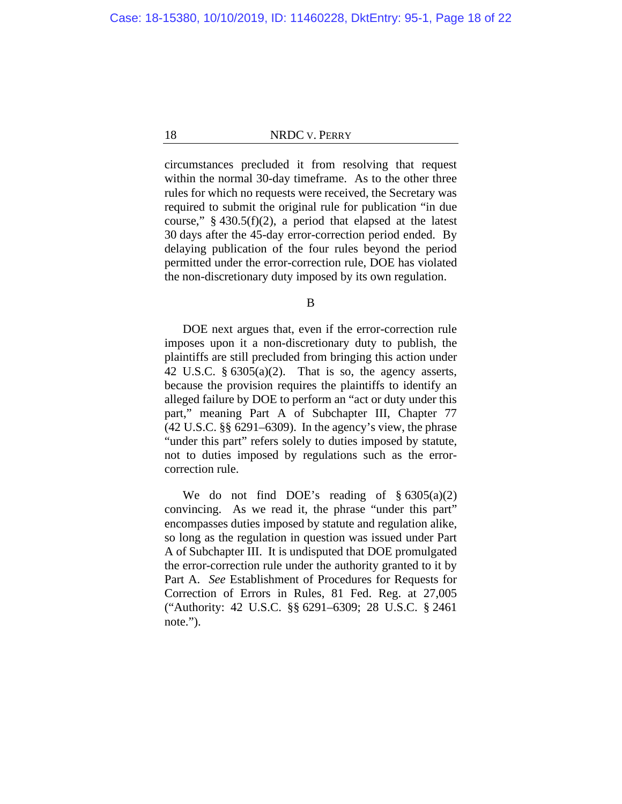circumstances precluded it from resolving that request within the normal 30-day timeframe. As to the other three rules for which no requests were received, the Secretary was required to submit the original rule for publication "in due course,"  $\S$  430.5(f)(2), a period that elapsed at the latest 30 days after the 45-day error-correction period ended. By delaying publication of the four rules beyond the period permitted under the error-correction rule, DOE has violated the non-discretionary duty imposed by its own regulation.

B

DOE next argues that, even if the error-correction rule imposes upon it a non-discretionary duty to publish, the plaintiffs are still precluded from bringing this action under 42 U.S.C.  $\S 6305(a)(2)$ . That is so, the agency asserts, because the provision requires the plaintiffs to identify an alleged failure by DOE to perform an "act or duty under this part," meaning Part A of Subchapter III, Chapter 77 (42 U.S.C. §§ 6291–6309). In the agency's view, the phrase "under this part" refers solely to duties imposed by statute, not to duties imposed by regulations such as the errorcorrection rule.

We do not find DOE's reading of  $§ 6305(a)(2)$ convincing. As we read it, the phrase "under this part" encompasses duties imposed by statute and regulation alike, so long as the regulation in question was issued under Part A of Subchapter III. It is undisputed that DOE promulgated the error-correction rule under the authority granted to it by Part A. *See* Establishment of Procedures for Requests for Correction of Errors in Rules, 81 Fed. Reg. at 27,005 ("Authority: 42 U.S.C. §§ 6291–6309; 28 U.S.C. § 2461 note.").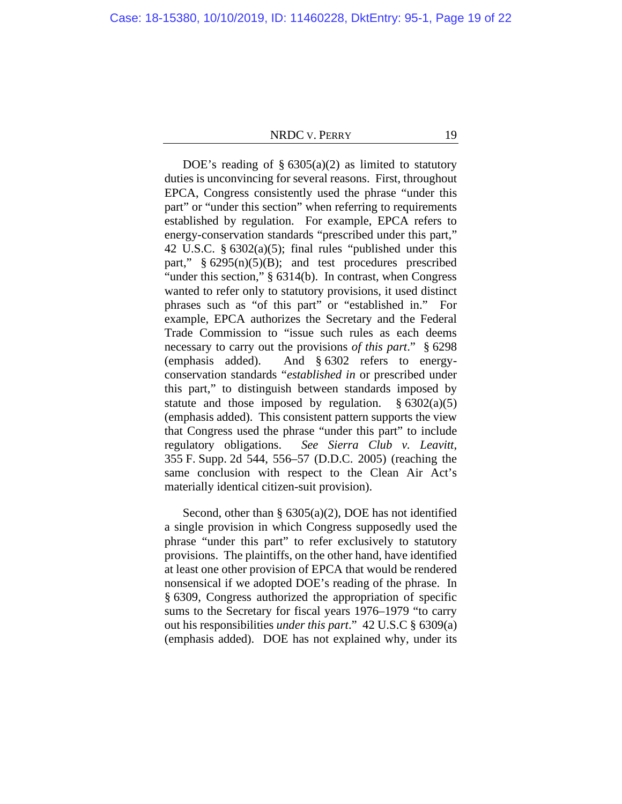DOE's reading of  $\S 6305(a)(2)$  as limited to statutory duties is unconvincing for several reasons. First, throughout EPCA, Congress consistently used the phrase "under this part" or "under this section" when referring to requirements established by regulation. For example, EPCA refers to energy-conservation standards "prescribed under this part," 42 U.S.C. § 6302(a)(5); final rules "published under this part,"  $§ 6295(n)(5)(B)$ ; and test procedures prescribed "under this section," § 6314(b). In contrast, when Congress wanted to refer only to statutory provisions, it used distinct phrases such as "of this part" or "established in." For example, EPCA authorizes the Secretary and the Federal Trade Commission to "issue such rules as each deems necessary to carry out the provisions *of this part*." § 6298 (emphasis added). And § 6302 refers to energyconservation standards "*established in* or prescribed under this part," to distinguish between standards imposed by statute and those imposed by regulation.  $§ 6302(a)(5)$ (emphasis added). This consistent pattern supports the view that Congress used the phrase "under this part" to include regulatory obligations. *See Sierra Club v. Leavitt*, 355 F. Supp. 2d 544, 556–57 (D.D.C. 2005) (reaching the same conclusion with respect to the Clean Air Act's materially identical citizen-suit provision).

Second, other than § 6305(a)(2), DOE has not identified a single provision in which Congress supposedly used the phrase "under this part" to refer exclusively to statutory provisions. The plaintiffs, on the other hand, have identified at least one other provision of EPCA that would be rendered nonsensical if we adopted DOE's reading of the phrase. In § 6309, Congress authorized the appropriation of specific sums to the Secretary for fiscal years 1976–1979 "to carry out his responsibilities *under this part*." 42 U.S.C § 6309(a) (emphasis added). DOE has not explained why, under its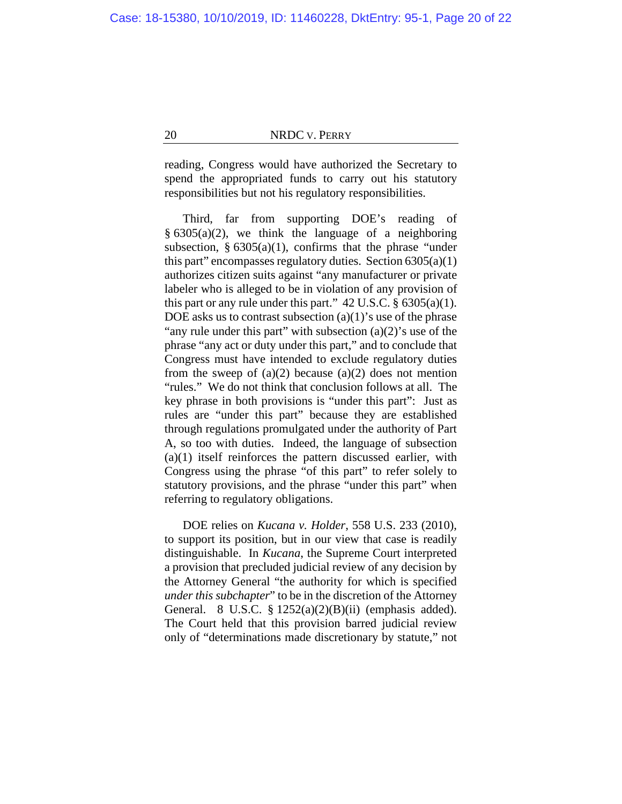reading, Congress would have authorized the Secretary to spend the appropriated funds to carry out his statutory responsibilities but not his regulatory responsibilities.

Third, far from supporting DOE's reading of  $§ 6305(a)(2)$ , we think the language of a neighboring subsection,  $\S 6305(a)(1)$ , confirms that the phrase "under" this part" encompasses regulatory duties. Section 6305(a)(1) authorizes citizen suits against "any manufacturer or private labeler who is alleged to be in violation of any provision of this part or any rule under this part."  $42 \text{ U.S.C.}$  §  $6305(a)(1)$ . DOE asks us to contrast subsection  $(a)(1)$ 's use of the phrase "any rule under this part" with subsection  $(a)(2)$ 's use of the phrase "any act or duty under this part," and to conclude that Congress must have intended to exclude regulatory duties from the sweep of  $(a)(2)$  because  $(a)(2)$  does not mention "rules." We do not think that conclusion follows at all. The key phrase in both provisions is "under this part": Just as rules are "under this part" because they are established through regulations promulgated under the authority of Part A, so too with duties. Indeed, the language of subsection (a)(1) itself reinforces the pattern discussed earlier, with Congress using the phrase "of this part" to refer solely to statutory provisions, and the phrase "under this part" when referring to regulatory obligations.

DOE relies on *Kucana v. Holder*, 558 U.S. 233 (2010), to support its position, but in our view that case is readily distinguishable. In *Kucana*, the Supreme Court interpreted a provision that precluded judicial review of any decision by the Attorney General "the authority for which is specified *under this subchapter*" to be in the discretion of the Attorney General. 8 U.S.C.  $\S 1252(a)(2)(B)(ii)$  (emphasis added). The Court held that this provision barred judicial review only of "determinations made discretionary by statute," not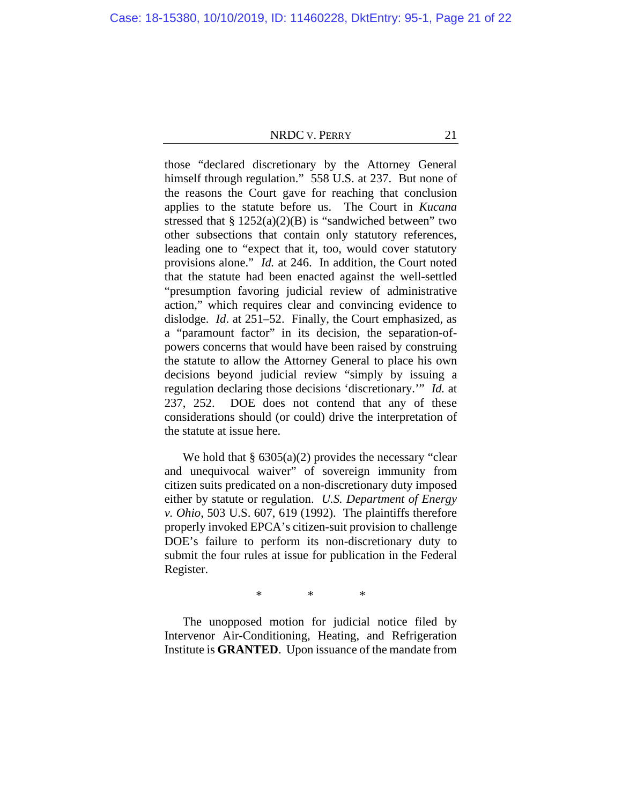those "declared discretionary by the Attorney General himself through regulation." 558 U.S. at 237. But none of the reasons the Court gave for reaching that conclusion applies to the statute before us. The Court in *Kucana* stressed that  $\S 1252(a)(2)(B)$  is "sandwiched between" two other subsections that contain only statutory references, leading one to "expect that it, too, would cover statutory provisions alone." *Id.* at 246. In addition, the Court noted that the statute had been enacted against the well-settled "presumption favoring judicial review of administrative action," which requires clear and convincing evidence to dislodge. *Id*. at 251–52. Finally, the Court emphasized, as a "paramount factor" in its decision, the separation-ofpowers concerns that would have been raised by construing the statute to allow the Attorney General to place his own decisions beyond judicial review "simply by issuing a regulation declaring those decisions 'discretionary.'" *Id.* at 237, 252. DOE does not contend that any of these considerations should (or could) drive the interpretation of the statute at issue here.

We hold that  $\S 6305(a)(2)$  provides the necessary "clear" and unequivocal waiver" of sovereign immunity from citizen suits predicated on a non-discretionary duty imposed either by statute or regulation. *U.S. Department of Energy v. Ohio*, 503 U.S. 607, 619 (1992). The plaintiffs therefore properly invoked EPCA's citizen-suit provision to challenge DOE's failure to perform its non-discretionary duty to submit the four rules at issue for publication in the Federal Register.

\* \* \*

The unopposed motion for judicial notice filed by Intervenor Air-Conditioning, Heating, and Refrigeration Institute is **GRANTED**. Upon issuance of the mandate from